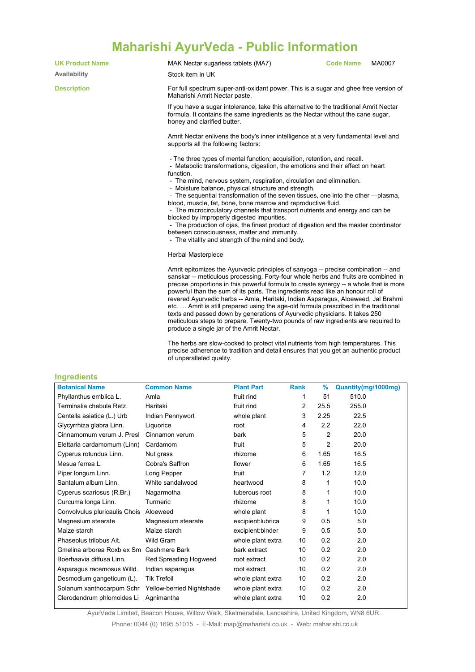## **Maharishi AyurVeda - Public Information**

|                            | .<br><b>COLLEN</b>                                                                                                                                                                                                                                                                                                                                                                                                                                                                                                                                                                                                                                                                                                                                   |                                                                                                                                                                                                                                                                                       | <u>MIIV IIIIVIIIIMTI</u> |      |                       |                     |  |
|----------------------------|------------------------------------------------------------------------------------------------------------------------------------------------------------------------------------------------------------------------------------------------------------------------------------------------------------------------------------------------------------------------------------------------------------------------------------------------------------------------------------------------------------------------------------------------------------------------------------------------------------------------------------------------------------------------------------------------------------------------------------------------------|---------------------------------------------------------------------------------------------------------------------------------------------------------------------------------------------------------------------------------------------------------------------------------------|--------------------------|------|-----------------------|---------------------|--|
| <b>UK Product Name</b>     |                                                                                                                                                                                                                                                                                                                                                                                                                                                                                                                                                                                                                                                                                                                                                      | MAK Nectar sugarless tablets (MA7)                                                                                                                                                                                                                                                    |                          |      | <b>Code Name</b>      | MA0007              |  |
| Availability               | Stock item in UK                                                                                                                                                                                                                                                                                                                                                                                                                                                                                                                                                                                                                                                                                                                                     |                                                                                                                                                                                                                                                                                       |                          |      |                       |                     |  |
| <b>Description</b>         |                                                                                                                                                                                                                                                                                                                                                                                                                                                                                                                                                                                                                                                                                                                                                      | For full spectrum super-anti-oxidant power. This is a sugar and ghee free version of<br>Maharishi Amrit Nectar paste.                                                                                                                                                                 |                          |      |                       |                     |  |
|                            |                                                                                                                                                                                                                                                                                                                                                                                                                                                                                                                                                                                                                                                                                                                                                      | If you have a sugar intolerance, take this alternative to the traditional Amrit Nectar<br>formula. It contains the same ingredients as the Nectar without the cane sugar,<br>honey and clarified butter.                                                                              |                          |      |                       |                     |  |
|                            | Amrit Nectar enlivens the body's inner intelligence at a very fundamental level and<br>supports all the following factors:                                                                                                                                                                                                                                                                                                                                                                                                                                                                                                                                                                                                                           |                                                                                                                                                                                                                                                                                       |                          |      |                       |                     |  |
|                            | - The three types of mental function; acquisition, retention, and recall.<br>- Metabolic transformations, digestion, the emotions and their effect on heart<br>function.                                                                                                                                                                                                                                                                                                                                                                                                                                                                                                                                                                             |                                                                                                                                                                                                                                                                                       |                          |      |                       |                     |  |
|                            |                                                                                                                                                                                                                                                                                                                                                                                                                                                                                                                                                                                                                                                                                                                                                      | - The mind, nervous system, respiration, circulation and elimination.<br>- Moisture balance, physical structure and strength.<br>- The sequential transformation of the seven tissues, one into the other -- plasma,<br>blood, muscle, fat, bone, bone marrow and reproductive fluid. |                          |      |                       |                     |  |
|                            |                                                                                                                                                                                                                                                                                                                                                                                                                                                                                                                                                                                                                                                                                                                                                      | - The microcirculatory channels that transport nutrients and energy and can be<br>blocked by improperly digested impurities.                                                                                                                                                          |                          |      |                       |                     |  |
|                            |                                                                                                                                                                                                                                                                                                                                                                                                                                                                                                                                                                                                                                                                                                                                                      | - The production of ojas, the finest product of digestion and the master coordinator                                                                                                                                                                                                  |                          |      |                       |                     |  |
|                            |                                                                                                                                                                                                                                                                                                                                                                                                                                                                                                                                                                                                                                                                                                                                                      | between consciousness, matter and immunity.<br>- The vitality and strength of the mind and body.                                                                                                                                                                                      |                          |      |                       |                     |  |
|                            | Herbal Masterpiece                                                                                                                                                                                                                                                                                                                                                                                                                                                                                                                                                                                                                                                                                                                                   |                                                                                                                                                                                                                                                                                       |                          |      |                       |                     |  |
|                            | Amrit epitomizes the Ayurvedic principles of sanyoga -- precise combination -- and<br>sanskar -- meticulous processing. Forty-four whole herbs and fruits are combined in<br>precise proportions in this powerful formula to create synergy -- a whole that is more<br>powerful than the sum of its parts. The ingredients read like an honour roll of<br>revered Ayurvedic herbs -- Amla, Haritaki, Indian Asparagus, Aloeweed, Jal Brahmi<br>etc.  Amrit is still prepared using the age-old formula prescribed in the traditional<br>texts and passed down by generations of Ayurvedic physicians. It takes 250<br>meticulous steps to prepare. Twenty-two pounds of raw ingredients are required to<br>produce a single jar of the Amrit Nectar. |                                                                                                                                                                                                                                                                                       |                          |      |                       |                     |  |
|                            |                                                                                                                                                                                                                                                                                                                                                                                                                                                                                                                                                                                                                                                                                                                                                      | The herbs are slow-cooked to protect vital nutrients from high temperatures. This<br>precise adherence to tradition and detail ensures that you get an authentic product<br>of unparalleled quality.                                                                                  |                          |      |                       |                     |  |
| <b>Ingredients</b>         |                                                                                                                                                                                                                                                                                                                                                                                                                                                                                                                                                                                                                                                                                                                                                      |                                                                                                                                                                                                                                                                                       |                          |      |                       |                     |  |
| <b>Botanical Name</b>      | <b>Common Name</b>                                                                                                                                                                                                                                                                                                                                                                                                                                                                                                                                                                                                                                                                                                                                   | <b>Plant Part</b>                                                                                                                                                                                                                                                                     | <b>Rank</b>              | %    |                       | Quantity(mg/1000mg) |  |
| Phyllanthus emblica L.     | Amla                                                                                                                                                                                                                                                                                                                                                                                                                                                                                                                                                                                                                                                                                                                                                 | fruit rind                                                                                                                                                                                                                                                                            | $\mathbf{1}$             | 51   | 510.0                 |                     |  |
| Terminalia chebula Retz.   | Haritaki                                                                                                                                                                                                                                                                                                                                                                                                                                                                                                                                                                                                                                                                                                                                             | fruit rind                                                                                                                                                                                                                                                                            | $\overline{2}$           | 25.5 | 255.0                 |                     |  |
| Centella asiatica (L.) Urb | Indian Pennywort                                                                                                                                                                                                                                                                                                                                                                                                                                                                                                                                                                                                                                                                                                                                     | whole plant                                                                                                                                                                                                                                                                           | 3                        | 2.25 | 22.5                  |                     |  |
| Glycyrrhiza glabra Linn.   | Liquorice                                                                                                                                                                                                                                                                                                                                                                                                                                                                                                                                                                                                                                                                                                                                            | root                                                                                                                                                                                                                                                                                  | 4                        | 2.2  | 22.0<br>$\sim$ $\sim$ |                     |  |
|                            |                                                                                                                                                                                                                                                                                                                                                                                                                                                                                                                                                                                                                                                                                                                                                      |                                                                                                                                                                                                                                                                                       |                          |      |                       |                     |  |

| Phyllanthus emblica L.                   | Amla                      | fruit rind         | 1  | 51             | 510.0 |  |
|------------------------------------------|---------------------------|--------------------|----|----------------|-------|--|
| Terminalia chebula Retz.                 | Haritaki                  | fruit rind         | 2  | 25.5           | 255.0 |  |
| Centella asiatica (L.) Urb               | Indian Pennywort          | whole plant        | 3  | 2.25           | 22.5  |  |
| Glycyrrhiza glabra Linn.                 | Liquorice                 | root               | 4  | 2.2            | 22.0  |  |
| Cinnamomum verum J. Presl                | Cinnamon verum            | bark               | 5  | $\overline{2}$ | 20.0  |  |
| Elettaria cardamomum (Linn)              | Cardamom                  | fruit              | 5  | 2              | 20.0  |  |
| Cyperus rotundus Linn.                   | Nut grass                 | rhizome            | 6  | 1.65           | 16.5  |  |
| Mesua ferrea L.                          | Cobra's Saffron           | flower             | 6  | 1.65           | 16.5  |  |
| Piper longum Linn.                       | Long Pepper               | fruit              | 7  | 1.2            | 12.0  |  |
| Santalum album Linn.                     | White sandalwood          | heartwood          | 8  | 1              | 10.0  |  |
| Cyperus scariosus (R.Br.)                | Nagarmotha                | tuberous root      | 8  | 1              | 10.0  |  |
| Curcuma longa Linn.                      | Turmeric                  | rhizome            | 8  | 1              | 10.0  |  |
| Convolvulus pluricaulis Chois Aloeweed   |                           | whole plant        | 8  | 1              | 10.0  |  |
| Magnesium stearate                       | Magnesium stearate        | excipient: lubrica | 9  | 0.5            | 5.0   |  |
| Maize starch                             | Maize starch              | excipient:binder   | 9  | 0.5            | 5.0   |  |
| Phaseolus trilobus Ait.                  | Wild Gram                 | whole plant extra  | 10 | 0.2            | 2.0   |  |
| Gmelina arborea Roxb ex Sm Cashmere Bark |                           | bark extract       | 10 | 0.2            | 2.0   |  |
| Boerhaavia diffusa Linn.                 | Red Spreading Hogweed     | root extract       | 10 | 0.2            | 2.0   |  |
| Asparagus racemosus Willd.               | Indian asparagus          | root extract       | 10 | 0.2            | 2.0   |  |
| Desmodium gangeticum (L).                | <b>Tik Trefoil</b>        | whole plant extra  | 10 | 0.2            | 2.0   |  |
| Solanum xanthocarpum Schr                | Yellow-berried Nightshade | whole plant extra  | 10 | 0.2            | 2.0   |  |
| Clerodendrum phlomoides Li               | Agnimantha                | whole plant extra  | 10 | 0.2            | 2.0   |  |
|                                          |                           |                    |    |                |       |  |

AyurVeda Limited, Beacon House, Willow Walk, Skelmersdale, Lancashire, United Kingdom, WN8 6UR.

Phone: 0044 (0) 1695 51015 - E-Mail: map@maharishi.co.uk - Web: maharishi.co.uk